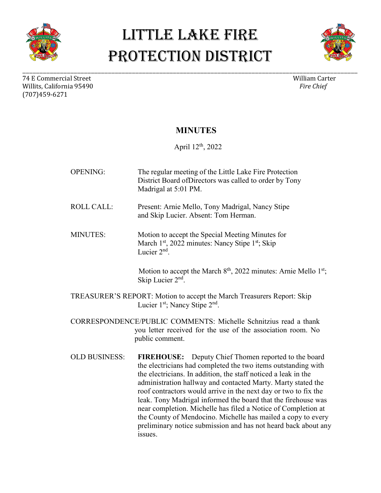



74 E Commercial Street William Carter (1990) william Carter (1990) william Carter (1990) william Carter (1990)<br>Willits. California 95490 Willits, California 95490 (707)459-6271

\_\_\_\_\_\_\_\_\_\_\_\_\_\_\_\_\_\_\_\_\_\_\_\_\_\_\_\_\_\_\_\_\_\_\_\_\_\_\_\_\_\_\_\_\_\_\_\_\_\_\_\_\_\_\_\_\_\_\_\_\_\_\_\_\_\_\_\_\_\_\_\_\_\_\_\_\_\_\_\_\_\_\_\_\_\_\_\_\_\_\_\_\_\_\_\_\_\_

#### **MINUTES**

April 12th, 2022

OPENING: The regular meeting of the Little Lake Fire Protection District Board ofDirectors was called to order by Tony Madrigal at 5:01 PM. ROLL CALL: Present: Arnie Mello, Tony Madrigal, Nancy Stipe and Skip Lucier. Absent: Tom Herman. MINUTES: Motion to accept the Special Meeting Minutes for March  $1<sup>st</sup>$ , 2022 minutes: Nancy Stipe  $1<sup>st</sup>$ ; Skip Lucier 2<sup>nd</sup> Motion to accept the March  $8<sup>th</sup>$ , 2022 minutes: Arnie Mello  $1<sup>st</sup>$ ; Skip Lucier  $2<sup>nd</sup>$ . TREASURER'S REPORT: Motion to accept the March Treasurers Report: Skip Lucier 1<sup>st</sup>; Nancy Stipe 2<sup>nd</sup>. CORRESPONDENCE/PUBLIC COMMENTS: Michelle Schnitzius read a thank you letter received for the use of the association room. No public comment. OLD BUSINESS: **FIREHOUSE:** Deputy Chief Thomen reported to the board the electricians had completed the two items outstanding with the electricians. In addition, the staff noticed a leak in the administration hallway and contacted Marty. Marty stated the roof contractors would arrive in the next day or two to fix the leak. Tony Madrigal informed the board that the firehouse was near completion. Michelle has filed a Notice of Completion at the County of Mendocino. Michelle has mailed a copy to every preliminary notice submission and has not heard back about any issues.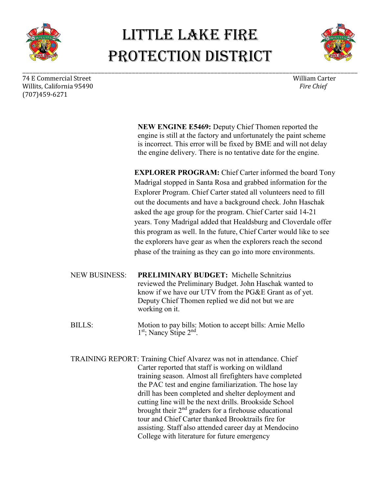



74 E Commercial Street William Carter (1990) william Carter (1990) william Carter (1990) william Carter (1990)<br>Willits. California 95490 Willits, California 95490 (707)459-6271

\_\_\_\_\_\_\_\_\_\_\_\_\_\_\_\_\_\_\_\_\_\_\_\_\_\_\_\_\_\_\_\_\_\_\_\_\_\_\_\_\_\_\_\_\_\_\_\_\_\_\_\_\_\_\_\_\_\_\_\_\_\_\_\_\_\_\_\_\_\_\_\_\_\_\_\_\_\_\_\_\_\_\_\_\_\_\_\_\_\_\_\_\_\_\_\_\_\_

**NEW ENGINE E5469:** Deputy Chief Thomen reported the engine is still at the factory and unfortunately the paint scheme is incorrect. This error will be fixed by BME and will not delay the engine delivery. There is no tentative date for the engine.

**EXPLORER PROGRAM:** Chief Carter informed the board Tony Madrigal stopped in Santa Rosa and grabbed information for the Explorer Program. Chief Carter stated all volunteers need to fill out the documents and have a background check. John Haschak asked the age group for the program. Chief Carter said 14-21 years. Tony Madrigal added that Healdsburg and Cloverdale offer this program as well. In the future, Chief Carter would like to see the explorers have gear as when the explorers reach the second phase of the training as they can go into more environments.

NEW BUSINESS: **PRELIMINARY BUDGET:** Michelle Schnitzius reviewed the Preliminary Budget. John Haschak wanted to know if we have our UTV from the PG&E Grant as of yet. Deputy Chief Thomen replied we did not but we are working on it.

BILLS: Motion to pay bills: Motion to accept bills: Arnie Mello 1<sup>st</sup>; Nancy Stipe 2<sup>nd</sup>.

TRAINING REPORT: Training Chief Alvarez was not in attendance. Chief Carter reported that staff is working on wildland training season. Almost all firefighters have completed the PAC test and engine familiarization. The hose lay drill has been completed and shelter deployment and cutting line will be the next drills. Brookside School brought their 2<sup>nd</sup> graders for a firehouse educational tour and Chief Carter thanked Brooktrails fire for assisting. Staff also attended career day at Mendocino College with literature for future emergency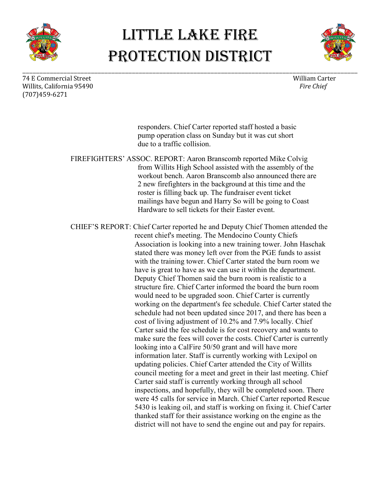



74 E Commercial Street William Carter (1990) william Carter (1990) william Carter (1990) william Carter (1990)<br>Willits. California 95490 Willits, California 95490 (707)459-6271

\_\_\_\_\_\_\_\_\_\_\_\_\_\_\_\_\_\_\_\_\_\_\_\_\_\_\_\_\_\_\_\_\_\_\_\_\_\_\_\_\_\_\_\_\_\_\_\_\_\_\_\_\_\_\_\_\_\_\_\_\_\_\_\_\_\_\_\_\_\_\_\_\_\_\_\_\_\_\_\_\_\_\_\_\_\_\_\_\_\_\_\_\_\_\_\_\_\_

responders. Chief Carter reported staff hosted a basic pump operation class on Sunday but it was cut short due to a traffic collision.

FIREFIGHTERS' ASSOC. REPORT: Aaron Branscomb reported Mike Colvig from Willits High School assisted with the assembly of the workout bench. Aaron Branscomb also announced there are 2 new firefighters in the background at this time and the roster is filling back up. The fundraiser event ticket mailings have begun and Harry So will be going to Coast Hardware to sell tickets for their Easter event.

CHIEF'S REPORT: Chief Carter reported he and Deputy Chief Thomen attended the recent chief's meeting. The Mendocino County Chiefs Association is looking into a new training tower. John Haschak stated there was money left over from the PGE funds to assist with the training tower. Chief Carter stated the burn room we have is great to have as we can use it within the department. Deputy Chief Thomen said the burn room is realistic to a structure fire. Chief Carter informed the board the burn room would need to be upgraded soon. Chief Carter is currently working on the department's fee schedule. Chief Carter stated the schedule had not been updated since 2017, and there has been a cost of living adjustment of 10.2% and 7.9% locally. Chief Carter said the fee schedule is for cost recovery and wants to make sure the fees will cover the costs. Chief Carter is currently looking into a CalFire 50/50 grant and will have more information later. Staff is currently working with Lexipol on updating policies. Chief Carter attended the City of Willits council meeting for a meet and greet in their last meeting. Chief Carter said staff is currently working through all school inspections, and hopefully, they will be completed soon. There were 45 calls for service in March. Chief Carter reported Rescue 5430 is leaking oil, and staff is working on fixing it. Chief Carter thanked staff for their assistance working on the engine as the district will not have to send the engine out and pay for repairs.